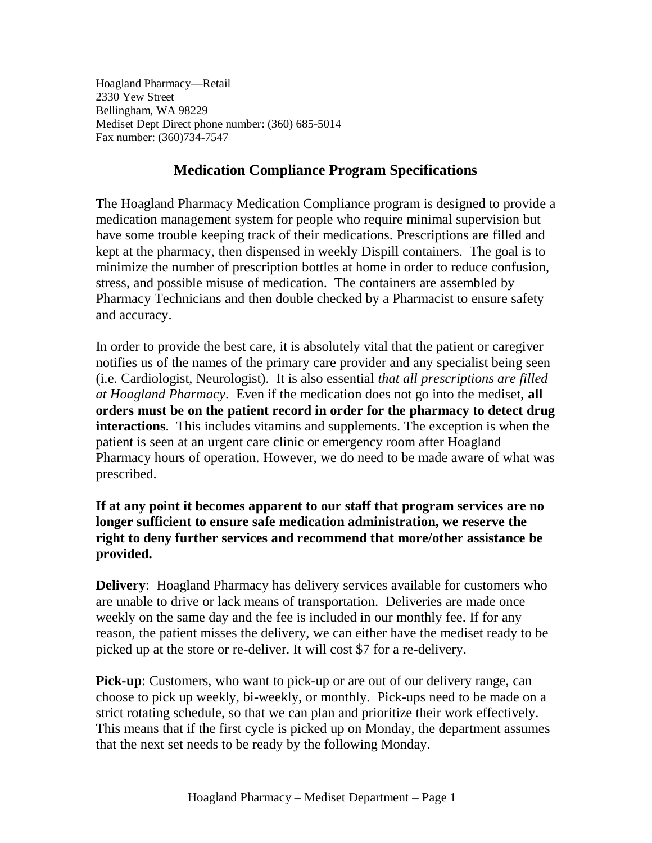Hoagland Pharmacy—Retail 2330 Yew Street Bellingham, WA 98229 Mediset Dept Direct phone number: (360) 685-5014 Fax number: (360)734-7547

## **Medication Compliance Program Specifications**

The Hoagland Pharmacy Medication Compliance program is designed to provide a medication management system for people who require minimal supervision but have some trouble keeping track of their medications. Prescriptions are filled and kept at the pharmacy, then dispensed in weekly Dispill containers. The goal is to minimize the number of prescription bottles at home in order to reduce confusion, stress, and possible misuse of medication. The containers are assembled by Pharmacy Technicians and then double checked by a Pharmacist to ensure safety and accuracy.

In order to provide the best care, it is absolutely vital that the patient or caregiver notifies us of the names of the primary care provider and any specialist being seen (i.e. Cardiologist, Neurologist). It is also essential *that all prescriptions are filled at Hoagland Pharmacy*. Even if the medication does not go into the mediset, **all orders must be on the patient record in order for the pharmacy to detect drug interactions**. This includes vitamins and supplements. The exception is when the patient is seen at an urgent care clinic or emergency room after Hoagland Pharmacy hours of operation. However, we do need to be made aware of what was prescribed.

## **If at any point it becomes apparent to our staff that program services are no longer sufficient to ensure safe medication administration, we reserve the right to deny further services and recommend that more/other assistance be provided.**

**Delivery:** Hoagland Pharmacy has delivery services available for customers who are unable to drive or lack means of transportation. Deliveries are made once weekly on the same day and the fee is included in our monthly fee. If for any reason, the patient misses the delivery, we can either have the mediset ready to be picked up at the store or re-deliver. It will cost \$7 for a re-delivery.

**Pick-up**: Customers, who want to pick-up or are out of our delivery range, can choose to pick up weekly, bi-weekly, or monthly. Pick-ups need to be made on a strict rotating schedule, so that we can plan and prioritize their work effectively. This means that if the first cycle is picked up on Monday, the department assumes that the next set needs to be ready by the following Monday.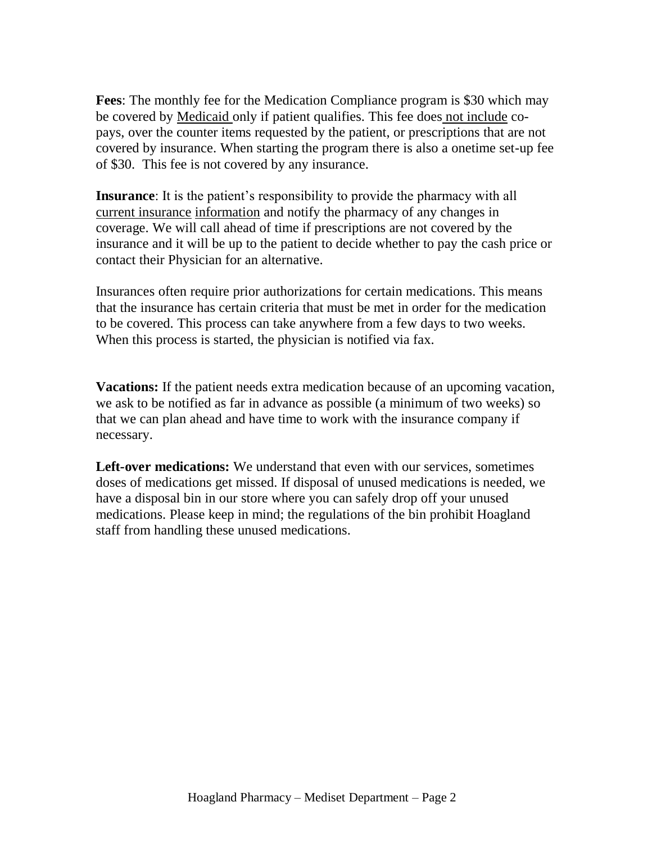**Fees**: The monthly fee for the Medication Compliance program is \$30 which may be covered by Medicaid only if patient qualifies. This fee does not include copays, over the counter items requested by the patient, or prescriptions that are not covered by insurance. When starting the program there is also a onetime set-up fee of \$30. This fee is not covered by any insurance.

**Insurance**: It is the patient's responsibility to provide the pharmacy with all current insurance information and notify the pharmacy of any changes in coverage. We will call ahead of time if prescriptions are not covered by the insurance and it will be up to the patient to decide whether to pay the cash price or contact their Physician for an alternative.

Insurances often require prior authorizations for certain medications. This means that the insurance has certain criteria that must be met in order for the medication to be covered. This process can take anywhere from a few days to two weeks. When this process is started, the physician is notified via fax.

**Vacations:** If the patient needs extra medication because of an upcoming vacation, we ask to be notified as far in advance as possible (a minimum of two weeks) so that we can plan ahead and have time to work with the insurance company if necessary.

**Left-over medications:** We understand that even with our services, sometimes doses of medications get missed. If disposal of unused medications is needed, we have a disposal bin in our store where you can safely drop off your unused medications. Please keep in mind; the regulations of the bin prohibit Hoagland staff from handling these unused medications.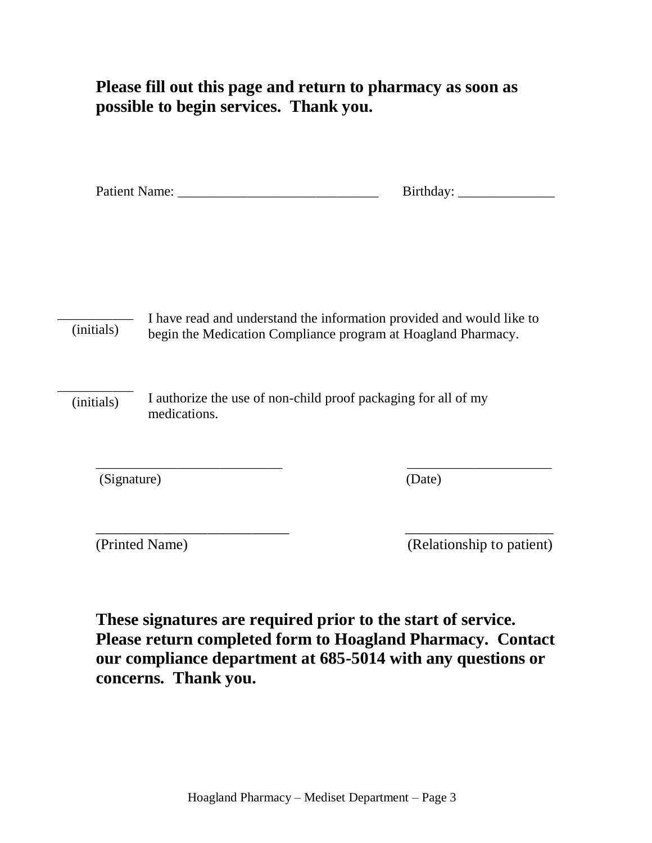**Please fill out this page and return to pharmacy as soon as possible to begin services. Thank you.**

| Patient N<br>Name: | 1077 |  |
|--------------------|------|--|
|                    |      |  |

I have read and understand the information provided and would like to begin the Medication Compliance program at Hoagland Pharmacy. \_\_\_\_\_\_\_\_\_\_\_ (initials)

I authorize the use of non-child proof packaging for all of my medications. \_\_\_\_\_\_\_\_\_\_\_ (initials)

(Signature) (Date)

\_\_\_\_\_\_\_\_\_\_\_\_\_\_\_\_\_\_\_\_\_\_\_\_\_\_ \_\_\_\_\_\_\_\_\_\_\_\_\_\_\_\_\_\_\_\_ (Printed Name) (Relationship to patient)

**These signatures are required prior to the start of service. Please return completed form to Hoagland Pharmacy. Contact our compliance department at 685-5014 with any questions or concerns. Thank you.**

\_\_\_\_\_\_\_\_\_\_\_\_\_\_\_\_\_\_\_\_\_\_\_\_\_\_\_ \_\_\_\_\_\_\_\_\_\_\_\_\_\_\_\_\_\_\_\_\_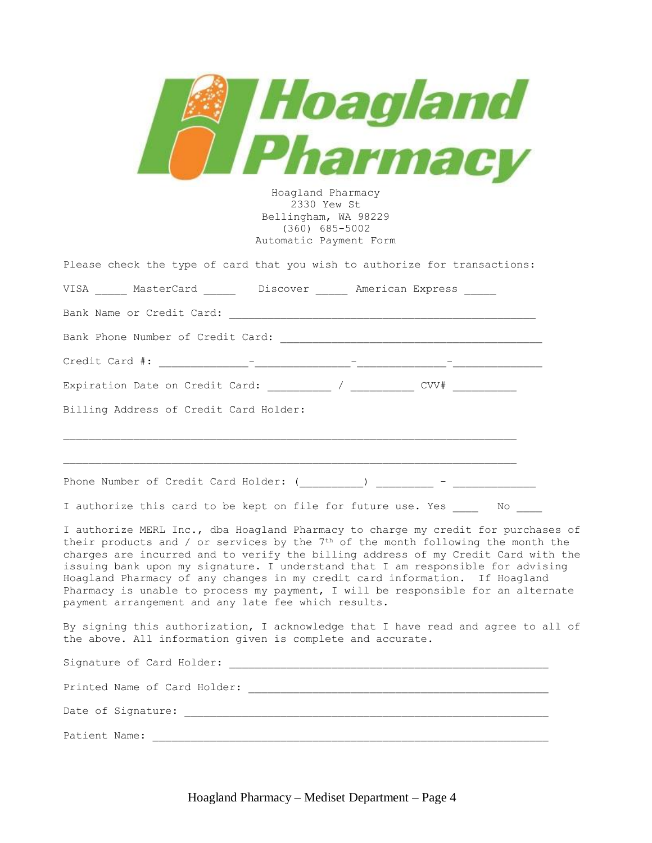| <i>Hoagland</i><br>harmacv<br>Hoagland Pharmacy<br>2330 Yew St<br>Bellingham, WA 98229<br>$(360)$ 685-5002<br>Automatic Payment Form                                                                                                                                                                                                                                                                                                                                                                                                                                    |
|-------------------------------------------------------------------------------------------------------------------------------------------------------------------------------------------------------------------------------------------------------------------------------------------------------------------------------------------------------------------------------------------------------------------------------------------------------------------------------------------------------------------------------------------------------------------------|
| Please check the type of card that you wish to authorize for transactions:                                                                                                                                                                                                                                                                                                                                                                                                                                                                                              |
| VISA _____ MasterCard ______ Discover _____ American Express _____                                                                                                                                                                                                                                                                                                                                                                                                                                                                                                      |
|                                                                                                                                                                                                                                                                                                                                                                                                                                                                                                                                                                         |
|                                                                                                                                                                                                                                                                                                                                                                                                                                                                                                                                                                         |
|                                                                                                                                                                                                                                                                                                                                                                                                                                                                                                                                                                         |
| Expiration Date on Credit Card: __________ / __________ CVV# __________                                                                                                                                                                                                                                                                                                                                                                                                                                                                                                 |
| Billing Address of Credit Card Holder:<br><u> 1989 - Johann Stoff, amerikansk politiker (d. 1989)</u>                                                                                                                                                                                                                                                                                                                                                                                                                                                                   |
|                                                                                                                                                                                                                                                                                                                                                                                                                                                                                                                                                                         |
| I authorize this card to be kept on file for future use. Yes ______ No _____                                                                                                                                                                                                                                                                                                                                                                                                                                                                                            |
| I authorize MERL Inc., dba Hoagland Pharmacy to charge my credit for purchases of<br>their products and / or services by the 7th of the month following the month the<br>charges are incurred and to verify the billing address of my Credit Card with the<br>issuing bank upon my signature. I understand that I am responsible for advising<br>Hoagland Pharmacy of any changes in my credit card information. If Hoagland<br>Pharmacy is unable to process my payment, I will be responsible for an alternate<br>payment arrangement and any late fee which results. |
| By signing this authorization, I acknowledge that I have read and agree to all of<br>the above. All information given is complete and accurate.                                                                                                                                                                                                                                                                                                                                                                                                                         |
|                                                                                                                                                                                                                                                                                                                                                                                                                                                                                                                                                                         |
|                                                                                                                                                                                                                                                                                                                                                                                                                                                                                                                                                                         |
|                                                                                                                                                                                                                                                                                                                                                                                                                                                                                                                                                                         |
| Patient Name:                                                                                                                                                                                                                                                                                                                                                                                                                                                                                                                                                           |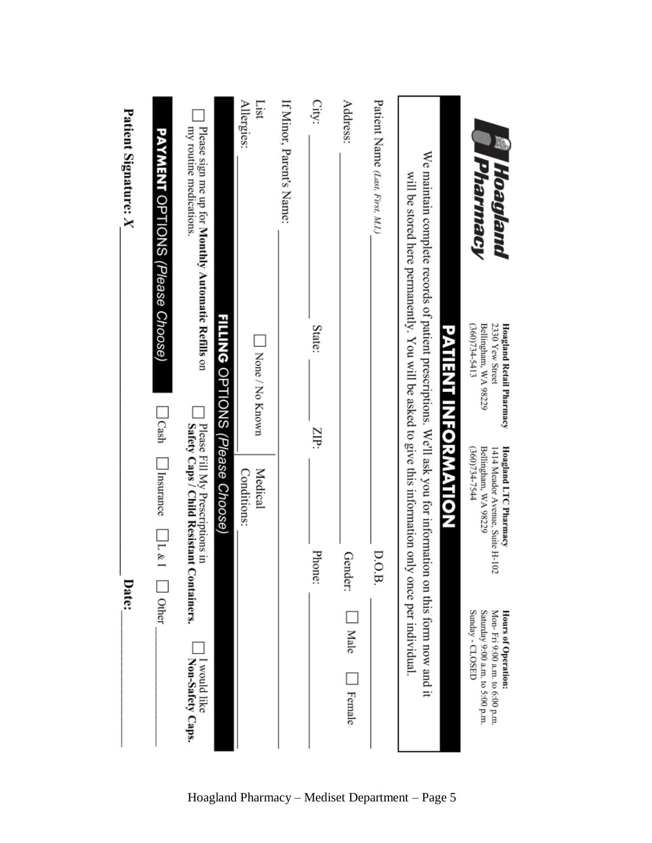| Patient Signature: X | <b>PAYMENT</b> OPTIONS (Please Choose) | Please sign me up for Monthly Automatic Refills on<br>my routine medications. |                                 | Allergies:<br>List<br>None / No Known | If Minor, Parent's Name: | City:<br>State: | Address:                                | Patient Name (Last, First, M.I.) | We maintain complete records of patient prescriptions. We'll ask you for information on this form now and it<br>will be stored here permanently. You will be asked to give this information only once per individual |                     | <b>Pharmacy</b><br><b>Moagland</b><br><b>Hoagland Retail Pharmacy</b><br>Bellingham, WA 98229<br>2330 Yew Street<br>(360)734-5413 |
|----------------------|----------------------------------------|-------------------------------------------------------------------------------|---------------------------------|---------------------------------------|--------------------------|-----------------|-----------------------------------------|----------------------------------|----------------------------------------------------------------------------------------------------------------------------------------------------------------------------------------------------------------------|---------------------|-----------------------------------------------------------------------------------------------------------------------------------|
|                      | $\Box$ Cash                            |                                                                               | FILLING OPTIONS (Please Choose) | Medical                               |                          | ZIP:            |                                         |                                  |                                                                                                                                                                                                                      | PATIENT INFORMATION | (360)734-7544                                                                                                                     |
|                      | Insurance<br>$\Box$                    | Please Fill My Prescriptions in<br>Safety Caps / Child Resistant Containers.  |                                 | <b>Conditions:</b>                    |                          | Phone:          | Gender:                                 | D.O.B.                           |                                                                                                                                                                                                                      |                     | <b>Hoagland LTC Pharmacy</b><br>Bellingham, WA 98229<br>1414 Meador Avenue, Suite H-102                                           |
| Date:                | Other                                  | I would like<br>Non-Safety Caps.                                              |                                 |                                       |                          |                 | $\overline{\phantom{a}}$ Male<br>Female |                                  |                                                                                                                                                                                                                      |                     | Saturday 9:00 a.m. to 5:00 p.m.<br>Mon-Fri 9:00 a.m. to 6:00 p.m.<br>Sunday - CLOSED<br>Hours of Operation:                       |